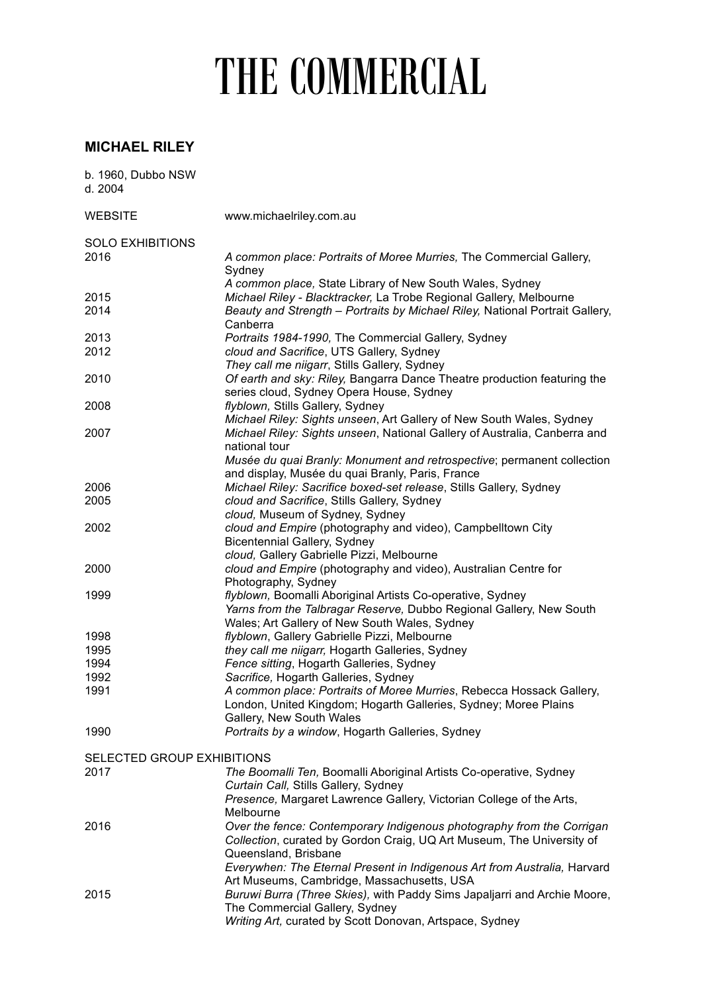## THE COMMERCIAL

## **MICHAEL RILEY**

| www.michaelriley.com.au<br>A common place: Portraits of Moree Murries, The Commercial Gallery,<br>Sydney<br>A common place, State Library of New South Wales, Sydney<br>2015<br>Michael Riley - Blacktracker, La Trobe Regional Gallery, Melbourne<br>2014<br>Beauty and Strength - Portraits by Michael Riley, National Portrait Gallery,<br>Canberra<br>2013<br>Portraits 1984-1990, The Commercial Gallery, Sydney<br>cloud and Sacrifice, UTS Gallery, Sydney<br>They call me niigarr, Stills Gallery, Sydney<br>Of earth and sky: Riley, Bangarra Dance Theatre production featuring the<br>series cloud, Sydney Opera House, Sydney<br>flyblown, Stills Gallery, Sydney<br>Michael Riley: Sights unseen, Art Gallery of New South Wales, Sydney<br>Michael Riley: Sights unseen, National Gallery of Australia, Canberra and<br>2007<br>national tour<br>Musée du quai Branly: Monument and retrospective; permanent collection<br>and display, Musée du quai Branly, Paris, France<br>Michael Riley: Sacrifice boxed-set release, Stills Gallery, Sydney<br>2006<br>2005<br>cloud and Sacrifice, Stills Gallery, Sydney<br>cloud, Museum of Sydney, Sydney<br>cloud and Empire (photography and video), Campbelltown City<br><b>Bicentennial Gallery, Sydney</b><br>cloud, Gallery Gabrielle Pizzi, Melbourne<br>cloud and Empire (photography and video), Australian Centre for<br>Photography, Sydney<br>flyblown, Boomalli Aboriginal Artists Co-operative, Sydney<br>1999<br>Yarns from the Talbragar Reserve, Dubbo Regional Gallery, New South<br>Wales; Art Gallery of New South Wales, Sydney<br>1998<br>flyblown, Gallery Gabrielle Pizzi, Melbourne<br>1995<br>they call me niigarr, Hogarth Galleries, Sydney<br>1994<br>Fence sitting, Hogarth Galleries, Sydney<br>Sacrifice, Hogarth Galleries, Sydney<br>A common place: Portraits of Moree Murries, Rebecca Hossack Gallery,<br>London, United Kingdom; Hogarth Galleries, Sydney; Moree Plains<br>Gallery, New South Wales<br>Portraits by a window, Hogarth Galleries, Sydney<br>1990<br><b>SELECTED GROUP EXHIBITIONS</b><br>2017<br>The Boomalli Ten, Boomalli Aboriginal Artists Co-operative, Sydney<br>Curtain Call, Stills Gallery, Sydney<br>Presence, Margaret Lawrence Gallery, Victorian College of the Arts,<br>Melbourne<br>Over the fence: Contemporary Indigenous photography from the Corrigan<br>Collection, curated by Gordon Craig, UQ Art Museum, The University of | b. 1960, Dubbo NSW<br>d. 2004 |                                                         |
|-----------------------------------------------------------------------------------------------------------------------------------------------------------------------------------------------------------------------------------------------------------------------------------------------------------------------------------------------------------------------------------------------------------------------------------------------------------------------------------------------------------------------------------------------------------------------------------------------------------------------------------------------------------------------------------------------------------------------------------------------------------------------------------------------------------------------------------------------------------------------------------------------------------------------------------------------------------------------------------------------------------------------------------------------------------------------------------------------------------------------------------------------------------------------------------------------------------------------------------------------------------------------------------------------------------------------------------------------------------------------------------------------------------------------------------------------------------------------------------------------------------------------------------------------------------------------------------------------------------------------------------------------------------------------------------------------------------------------------------------------------------------------------------------------------------------------------------------------------------------------------------------------------------------------------------------------------------------------------------------------------------------------------------------------------------------------------------------------------------------------------------------------------------------------------------------------------------------------------------------------------------------------------------------------------------------------------------------------------------------------------------------------------------------------------------------------------------------|-------------------------------|---------------------------------------------------------|
|                                                                                                                                                                                                                                                                                                                                                                                                                                                                                                                                                                                                                                                                                                                                                                                                                                                                                                                                                                                                                                                                                                                                                                                                                                                                                                                                                                                                                                                                                                                                                                                                                                                                                                                                                                                                                                                                                                                                                                                                                                                                                                                                                                                                                                                                                                                                                                                                                                                                 | <b>WEBSITE</b>                |                                                         |
|                                                                                                                                                                                                                                                                                                                                                                                                                                                                                                                                                                                                                                                                                                                                                                                                                                                                                                                                                                                                                                                                                                                                                                                                                                                                                                                                                                                                                                                                                                                                                                                                                                                                                                                                                                                                                                                                                                                                                                                                                                                                                                                                                                                                                                                                                                                                                                                                                                                                 | <b>SOLO EXHIBITIONS</b>       |                                                         |
|                                                                                                                                                                                                                                                                                                                                                                                                                                                                                                                                                                                                                                                                                                                                                                                                                                                                                                                                                                                                                                                                                                                                                                                                                                                                                                                                                                                                                                                                                                                                                                                                                                                                                                                                                                                                                                                                                                                                                                                                                                                                                                                                                                                                                                                                                                                                                                                                                                                                 | 2016                          |                                                         |
|                                                                                                                                                                                                                                                                                                                                                                                                                                                                                                                                                                                                                                                                                                                                                                                                                                                                                                                                                                                                                                                                                                                                                                                                                                                                                                                                                                                                                                                                                                                                                                                                                                                                                                                                                                                                                                                                                                                                                                                                                                                                                                                                                                                                                                                                                                                                                                                                                                                                 |                               |                                                         |
|                                                                                                                                                                                                                                                                                                                                                                                                                                                                                                                                                                                                                                                                                                                                                                                                                                                                                                                                                                                                                                                                                                                                                                                                                                                                                                                                                                                                                                                                                                                                                                                                                                                                                                                                                                                                                                                                                                                                                                                                                                                                                                                                                                                                                                                                                                                                                                                                                                                                 |                               |                                                         |
|                                                                                                                                                                                                                                                                                                                                                                                                                                                                                                                                                                                                                                                                                                                                                                                                                                                                                                                                                                                                                                                                                                                                                                                                                                                                                                                                                                                                                                                                                                                                                                                                                                                                                                                                                                                                                                                                                                                                                                                                                                                                                                                                                                                                                                                                                                                                                                                                                                                                 |                               |                                                         |
|                                                                                                                                                                                                                                                                                                                                                                                                                                                                                                                                                                                                                                                                                                                                                                                                                                                                                                                                                                                                                                                                                                                                                                                                                                                                                                                                                                                                                                                                                                                                                                                                                                                                                                                                                                                                                                                                                                                                                                                                                                                                                                                                                                                                                                                                                                                                                                                                                                                                 |                               |                                                         |
|                                                                                                                                                                                                                                                                                                                                                                                                                                                                                                                                                                                                                                                                                                                                                                                                                                                                                                                                                                                                                                                                                                                                                                                                                                                                                                                                                                                                                                                                                                                                                                                                                                                                                                                                                                                                                                                                                                                                                                                                                                                                                                                                                                                                                                                                                                                                                                                                                                                                 |                               |                                                         |
|                                                                                                                                                                                                                                                                                                                                                                                                                                                                                                                                                                                                                                                                                                                                                                                                                                                                                                                                                                                                                                                                                                                                                                                                                                                                                                                                                                                                                                                                                                                                                                                                                                                                                                                                                                                                                                                                                                                                                                                                                                                                                                                                                                                                                                                                                                                                                                                                                                                                 | 2012                          |                                                         |
|                                                                                                                                                                                                                                                                                                                                                                                                                                                                                                                                                                                                                                                                                                                                                                                                                                                                                                                                                                                                                                                                                                                                                                                                                                                                                                                                                                                                                                                                                                                                                                                                                                                                                                                                                                                                                                                                                                                                                                                                                                                                                                                                                                                                                                                                                                                                                                                                                                                                 |                               |                                                         |
|                                                                                                                                                                                                                                                                                                                                                                                                                                                                                                                                                                                                                                                                                                                                                                                                                                                                                                                                                                                                                                                                                                                                                                                                                                                                                                                                                                                                                                                                                                                                                                                                                                                                                                                                                                                                                                                                                                                                                                                                                                                                                                                                                                                                                                                                                                                                                                                                                                                                 | 2010                          |                                                         |
|                                                                                                                                                                                                                                                                                                                                                                                                                                                                                                                                                                                                                                                                                                                                                                                                                                                                                                                                                                                                                                                                                                                                                                                                                                                                                                                                                                                                                                                                                                                                                                                                                                                                                                                                                                                                                                                                                                                                                                                                                                                                                                                                                                                                                                                                                                                                                                                                                                                                 |                               |                                                         |
|                                                                                                                                                                                                                                                                                                                                                                                                                                                                                                                                                                                                                                                                                                                                                                                                                                                                                                                                                                                                                                                                                                                                                                                                                                                                                                                                                                                                                                                                                                                                                                                                                                                                                                                                                                                                                                                                                                                                                                                                                                                                                                                                                                                                                                                                                                                                                                                                                                                                 | 2008                          |                                                         |
|                                                                                                                                                                                                                                                                                                                                                                                                                                                                                                                                                                                                                                                                                                                                                                                                                                                                                                                                                                                                                                                                                                                                                                                                                                                                                                                                                                                                                                                                                                                                                                                                                                                                                                                                                                                                                                                                                                                                                                                                                                                                                                                                                                                                                                                                                                                                                                                                                                                                 |                               |                                                         |
|                                                                                                                                                                                                                                                                                                                                                                                                                                                                                                                                                                                                                                                                                                                                                                                                                                                                                                                                                                                                                                                                                                                                                                                                                                                                                                                                                                                                                                                                                                                                                                                                                                                                                                                                                                                                                                                                                                                                                                                                                                                                                                                                                                                                                                                                                                                                                                                                                                                                 |                               |                                                         |
|                                                                                                                                                                                                                                                                                                                                                                                                                                                                                                                                                                                                                                                                                                                                                                                                                                                                                                                                                                                                                                                                                                                                                                                                                                                                                                                                                                                                                                                                                                                                                                                                                                                                                                                                                                                                                                                                                                                                                                                                                                                                                                                                                                                                                                                                                                                                                                                                                                                                 |                               |                                                         |
|                                                                                                                                                                                                                                                                                                                                                                                                                                                                                                                                                                                                                                                                                                                                                                                                                                                                                                                                                                                                                                                                                                                                                                                                                                                                                                                                                                                                                                                                                                                                                                                                                                                                                                                                                                                                                                                                                                                                                                                                                                                                                                                                                                                                                                                                                                                                                                                                                                                                 |                               |                                                         |
|                                                                                                                                                                                                                                                                                                                                                                                                                                                                                                                                                                                                                                                                                                                                                                                                                                                                                                                                                                                                                                                                                                                                                                                                                                                                                                                                                                                                                                                                                                                                                                                                                                                                                                                                                                                                                                                                                                                                                                                                                                                                                                                                                                                                                                                                                                                                                                                                                                                                 |                               |                                                         |
|                                                                                                                                                                                                                                                                                                                                                                                                                                                                                                                                                                                                                                                                                                                                                                                                                                                                                                                                                                                                                                                                                                                                                                                                                                                                                                                                                                                                                                                                                                                                                                                                                                                                                                                                                                                                                                                                                                                                                                                                                                                                                                                                                                                                                                                                                                                                                                                                                                                                 |                               |                                                         |
|                                                                                                                                                                                                                                                                                                                                                                                                                                                                                                                                                                                                                                                                                                                                                                                                                                                                                                                                                                                                                                                                                                                                                                                                                                                                                                                                                                                                                                                                                                                                                                                                                                                                                                                                                                                                                                                                                                                                                                                                                                                                                                                                                                                                                                                                                                                                                                                                                                                                 |                               |                                                         |
|                                                                                                                                                                                                                                                                                                                                                                                                                                                                                                                                                                                                                                                                                                                                                                                                                                                                                                                                                                                                                                                                                                                                                                                                                                                                                                                                                                                                                                                                                                                                                                                                                                                                                                                                                                                                                                                                                                                                                                                                                                                                                                                                                                                                                                                                                                                                                                                                                                                                 | 2002                          |                                                         |
|                                                                                                                                                                                                                                                                                                                                                                                                                                                                                                                                                                                                                                                                                                                                                                                                                                                                                                                                                                                                                                                                                                                                                                                                                                                                                                                                                                                                                                                                                                                                                                                                                                                                                                                                                                                                                                                                                                                                                                                                                                                                                                                                                                                                                                                                                                                                                                                                                                                                 |                               |                                                         |
|                                                                                                                                                                                                                                                                                                                                                                                                                                                                                                                                                                                                                                                                                                                                                                                                                                                                                                                                                                                                                                                                                                                                                                                                                                                                                                                                                                                                                                                                                                                                                                                                                                                                                                                                                                                                                                                                                                                                                                                                                                                                                                                                                                                                                                                                                                                                                                                                                                                                 |                               |                                                         |
|                                                                                                                                                                                                                                                                                                                                                                                                                                                                                                                                                                                                                                                                                                                                                                                                                                                                                                                                                                                                                                                                                                                                                                                                                                                                                                                                                                                                                                                                                                                                                                                                                                                                                                                                                                                                                                                                                                                                                                                                                                                                                                                                                                                                                                                                                                                                                                                                                                                                 | 2000                          |                                                         |
|                                                                                                                                                                                                                                                                                                                                                                                                                                                                                                                                                                                                                                                                                                                                                                                                                                                                                                                                                                                                                                                                                                                                                                                                                                                                                                                                                                                                                                                                                                                                                                                                                                                                                                                                                                                                                                                                                                                                                                                                                                                                                                                                                                                                                                                                                                                                                                                                                                                                 |                               |                                                         |
|                                                                                                                                                                                                                                                                                                                                                                                                                                                                                                                                                                                                                                                                                                                                                                                                                                                                                                                                                                                                                                                                                                                                                                                                                                                                                                                                                                                                                                                                                                                                                                                                                                                                                                                                                                                                                                                                                                                                                                                                                                                                                                                                                                                                                                                                                                                                                                                                                                                                 |                               |                                                         |
|                                                                                                                                                                                                                                                                                                                                                                                                                                                                                                                                                                                                                                                                                                                                                                                                                                                                                                                                                                                                                                                                                                                                                                                                                                                                                                                                                                                                                                                                                                                                                                                                                                                                                                                                                                                                                                                                                                                                                                                                                                                                                                                                                                                                                                                                                                                                                                                                                                                                 |                               |                                                         |
|                                                                                                                                                                                                                                                                                                                                                                                                                                                                                                                                                                                                                                                                                                                                                                                                                                                                                                                                                                                                                                                                                                                                                                                                                                                                                                                                                                                                                                                                                                                                                                                                                                                                                                                                                                                                                                                                                                                                                                                                                                                                                                                                                                                                                                                                                                                                                                                                                                                                 |                               |                                                         |
|                                                                                                                                                                                                                                                                                                                                                                                                                                                                                                                                                                                                                                                                                                                                                                                                                                                                                                                                                                                                                                                                                                                                                                                                                                                                                                                                                                                                                                                                                                                                                                                                                                                                                                                                                                                                                                                                                                                                                                                                                                                                                                                                                                                                                                                                                                                                                                                                                                                                 |                               |                                                         |
|                                                                                                                                                                                                                                                                                                                                                                                                                                                                                                                                                                                                                                                                                                                                                                                                                                                                                                                                                                                                                                                                                                                                                                                                                                                                                                                                                                                                                                                                                                                                                                                                                                                                                                                                                                                                                                                                                                                                                                                                                                                                                                                                                                                                                                                                                                                                                                                                                                                                 |                               |                                                         |
|                                                                                                                                                                                                                                                                                                                                                                                                                                                                                                                                                                                                                                                                                                                                                                                                                                                                                                                                                                                                                                                                                                                                                                                                                                                                                                                                                                                                                                                                                                                                                                                                                                                                                                                                                                                                                                                                                                                                                                                                                                                                                                                                                                                                                                                                                                                                                                                                                                                                 | 1992                          |                                                         |
|                                                                                                                                                                                                                                                                                                                                                                                                                                                                                                                                                                                                                                                                                                                                                                                                                                                                                                                                                                                                                                                                                                                                                                                                                                                                                                                                                                                                                                                                                                                                                                                                                                                                                                                                                                                                                                                                                                                                                                                                                                                                                                                                                                                                                                                                                                                                                                                                                                                                 | 1991                          |                                                         |
|                                                                                                                                                                                                                                                                                                                                                                                                                                                                                                                                                                                                                                                                                                                                                                                                                                                                                                                                                                                                                                                                                                                                                                                                                                                                                                                                                                                                                                                                                                                                                                                                                                                                                                                                                                                                                                                                                                                                                                                                                                                                                                                                                                                                                                                                                                                                                                                                                                                                 |                               |                                                         |
|                                                                                                                                                                                                                                                                                                                                                                                                                                                                                                                                                                                                                                                                                                                                                                                                                                                                                                                                                                                                                                                                                                                                                                                                                                                                                                                                                                                                                                                                                                                                                                                                                                                                                                                                                                                                                                                                                                                                                                                                                                                                                                                                                                                                                                                                                                                                                                                                                                                                 |                               |                                                         |
|                                                                                                                                                                                                                                                                                                                                                                                                                                                                                                                                                                                                                                                                                                                                                                                                                                                                                                                                                                                                                                                                                                                                                                                                                                                                                                                                                                                                                                                                                                                                                                                                                                                                                                                                                                                                                                                                                                                                                                                                                                                                                                                                                                                                                                                                                                                                                                                                                                                                 |                               |                                                         |
|                                                                                                                                                                                                                                                                                                                                                                                                                                                                                                                                                                                                                                                                                                                                                                                                                                                                                                                                                                                                                                                                                                                                                                                                                                                                                                                                                                                                                                                                                                                                                                                                                                                                                                                                                                                                                                                                                                                                                                                                                                                                                                                                                                                                                                                                                                                                                                                                                                                                 |                               |                                                         |
|                                                                                                                                                                                                                                                                                                                                                                                                                                                                                                                                                                                                                                                                                                                                                                                                                                                                                                                                                                                                                                                                                                                                                                                                                                                                                                                                                                                                                                                                                                                                                                                                                                                                                                                                                                                                                                                                                                                                                                                                                                                                                                                                                                                                                                                                                                                                                                                                                                                                 |                               |                                                         |
|                                                                                                                                                                                                                                                                                                                                                                                                                                                                                                                                                                                                                                                                                                                                                                                                                                                                                                                                                                                                                                                                                                                                                                                                                                                                                                                                                                                                                                                                                                                                                                                                                                                                                                                                                                                                                                                                                                                                                                                                                                                                                                                                                                                                                                                                                                                                                                                                                                                                 |                               |                                                         |
|                                                                                                                                                                                                                                                                                                                                                                                                                                                                                                                                                                                                                                                                                                                                                                                                                                                                                                                                                                                                                                                                                                                                                                                                                                                                                                                                                                                                                                                                                                                                                                                                                                                                                                                                                                                                                                                                                                                                                                                                                                                                                                                                                                                                                                                                                                                                                                                                                                                                 |                               |                                                         |
|                                                                                                                                                                                                                                                                                                                                                                                                                                                                                                                                                                                                                                                                                                                                                                                                                                                                                                                                                                                                                                                                                                                                                                                                                                                                                                                                                                                                                                                                                                                                                                                                                                                                                                                                                                                                                                                                                                                                                                                                                                                                                                                                                                                                                                                                                                                                                                                                                                                                 |                               |                                                         |
|                                                                                                                                                                                                                                                                                                                                                                                                                                                                                                                                                                                                                                                                                                                                                                                                                                                                                                                                                                                                                                                                                                                                                                                                                                                                                                                                                                                                                                                                                                                                                                                                                                                                                                                                                                                                                                                                                                                                                                                                                                                                                                                                                                                                                                                                                                                                                                                                                                                                 | 2016                          |                                                         |
|                                                                                                                                                                                                                                                                                                                                                                                                                                                                                                                                                                                                                                                                                                                                                                                                                                                                                                                                                                                                                                                                                                                                                                                                                                                                                                                                                                                                                                                                                                                                                                                                                                                                                                                                                                                                                                                                                                                                                                                                                                                                                                                                                                                                                                                                                                                                                                                                                                                                 |                               |                                                         |
|                                                                                                                                                                                                                                                                                                                                                                                                                                                                                                                                                                                                                                                                                                                                                                                                                                                                                                                                                                                                                                                                                                                                                                                                                                                                                                                                                                                                                                                                                                                                                                                                                                                                                                                                                                                                                                                                                                                                                                                                                                                                                                                                                                                                                                                                                                                                                                                                                                                                 |                               | Queensland, Brisbane                                    |
| Everywhen: The Eternal Present in Indigenous Art from Australia, Harvard                                                                                                                                                                                                                                                                                                                                                                                                                                                                                                                                                                                                                                                                                                                                                                                                                                                                                                                                                                                                                                                                                                                                                                                                                                                                                                                                                                                                                                                                                                                                                                                                                                                                                                                                                                                                                                                                                                                                                                                                                                                                                                                                                                                                                                                                                                                                                                                        |                               |                                                         |
| Art Museums, Cambridge, Massachusetts, USA<br>Buruwi Burra (Three Skies), with Paddy Sims Japaljarri and Archie Moore,                                                                                                                                                                                                                                                                                                                                                                                                                                                                                                                                                                                                                                                                                                                                                                                                                                                                                                                                                                                                                                                                                                                                                                                                                                                                                                                                                                                                                                                                                                                                                                                                                                                                                                                                                                                                                                                                                                                                                                                                                                                                                                                                                                                                                                                                                                                                          | 2015                          |                                                         |
|                                                                                                                                                                                                                                                                                                                                                                                                                                                                                                                                                                                                                                                                                                                                                                                                                                                                                                                                                                                                                                                                                                                                                                                                                                                                                                                                                                                                                                                                                                                                                                                                                                                                                                                                                                                                                                                                                                                                                                                                                                                                                                                                                                                                                                                                                                                                                                                                                                                                 |                               |                                                         |
|                                                                                                                                                                                                                                                                                                                                                                                                                                                                                                                                                                                                                                                                                                                                                                                                                                                                                                                                                                                                                                                                                                                                                                                                                                                                                                                                                                                                                                                                                                                                                                                                                                                                                                                                                                                                                                                                                                                                                                                                                                                                                                                                                                                                                                                                                                                                                                                                                                                                 |                               |                                                         |
| The Commercial Gallery, Sydney                                                                                                                                                                                                                                                                                                                                                                                                                                                                                                                                                                                                                                                                                                                                                                                                                                                                                                                                                                                                                                                                                                                                                                                                                                                                                                                                                                                                                                                                                                                                                                                                                                                                                                                                                                                                                                                                                                                                                                                                                                                                                                                                                                                                                                                                                                                                                                                                                                  |                               | Writing Art, curated by Scott Donovan, Artspace, Sydney |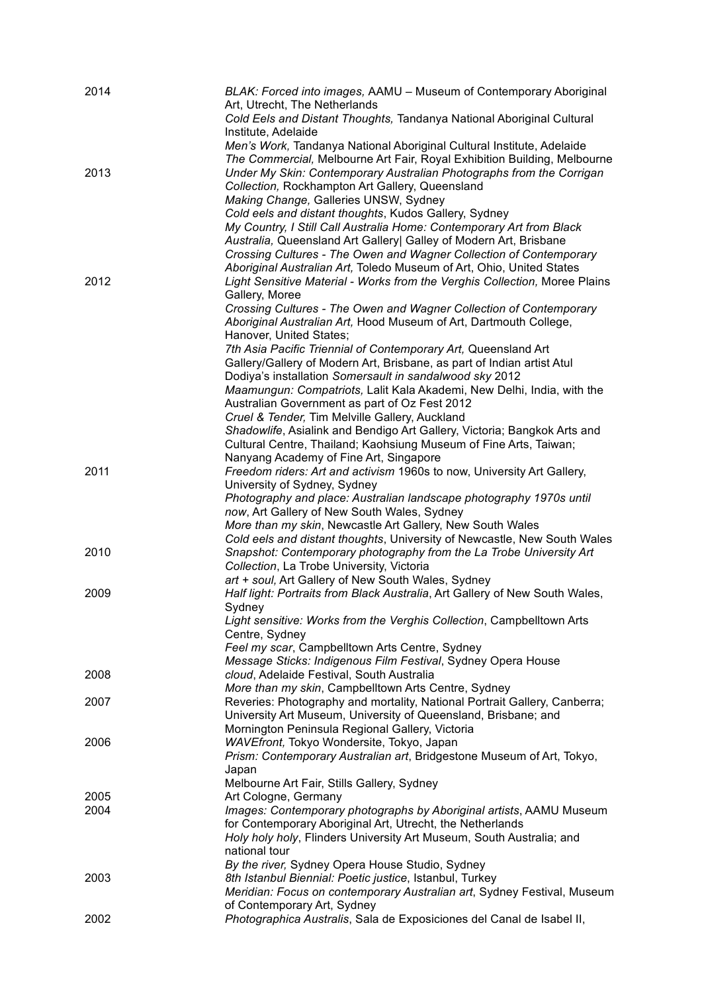| 2014 | BLAK: Forced into images, AAMU - Museum of Contemporary Aboriginal                                                                                 |
|------|----------------------------------------------------------------------------------------------------------------------------------------------------|
|      | Art, Utrecht, The Netherlands<br>Cold Eels and Distant Thoughts, Tandanya National Aboriginal Cultural                                             |
|      | Institute, Adelaide                                                                                                                                |
|      | Men's Work, Tandanya National Aboriginal Cultural Institute, Adelaide                                                                              |
|      | The Commercial, Melbourne Art Fair, Royal Exhibition Building, Melbourne                                                                           |
| 2013 | Under My Skin: Contemporary Australian Photographs from the Corrigan                                                                               |
|      | Collection, Rockhampton Art Gallery, Queensland                                                                                                    |
|      | Making Change, Galleries UNSW, Sydney                                                                                                              |
|      | Cold eels and distant thoughts, Kudos Gallery, Sydney                                                                                              |
|      | My Country, I Still Call Australia Home: Contemporary Art from Black                                                                               |
|      | Australia, Queensland Art Gallery  Galley of Modern Art, Brisbane                                                                                  |
|      | Crossing Cultures - The Owen and Wagner Collection of Contemporary                                                                                 |
| 2012 | Aboriginal Australian Art, Toledo Museum of Art, Ohio, United States<br>Light Sensitive Material - Works from the Verghis Collection, Moree Plains |
|      | Gallery, Moree                                                                                                                                     |
|      | Crossing Cultures - The Owen and Wagner Collection of Contemporary                                                                                 |
|      | Aboriginal Australian Art, Hood Museum of Art, Dartmouth College,                                                                                  |
|      | Hanover, United States;                                                                                                                            |
|      | 7th Asia Pacific Triennial of Contemporary Art, Queensland Art                                                                                     |
|      | Gallery/Gallery of Modern Art, Brisbane, as part of Indian artist Atul                                                                             |
|      | Dodiya's installation Somersault in sandalwood sky 2012                                                                                            |
|      | Maamungun: Compatriots, Lalit Kala Akademi, New Delhi, India, with the                                                                             |
|      | Australian Government as part of Oz Fest 2012                                                                                                      |
|      | Cruel & Tender, Tim Melville Gallery, Auckland                                                                                                     |
|      | Shadowlife, Asialink and Bendigo Art Gallery, Victoria; Bangkok Arts and                                                                           |
|      | Cultural Centre, Thailand; Kaohsiung Museum of Fine Arts, Taiwan;<br>Nanyang Academy of Fine Art, Singapore                                        |
| 2011 | Freedom riders: Art and activism 1960s to now, University Art Gallery,                                                                             |
|      | University of Sydney, Sydney                                                                                                                       |
|      | Photography and place: Australian landscape photography 1970s until                                                                                |
|      | now, Art Gallery of New South Wales, Sydney                                                                                                        |
|      | More than my skin, Newcastle Art Gallery, New South Wales                                                                                          |
|      | Cold eels and distant thoughts, University of Newcastle, New South Wales                                                                           |
| 2010 | Snapshot: Contemporary photography from the La Trobe University Art                                                                                |
|      | Collection, La Trobe University, Victoria                                                                                                          |
|      | art + soul, Art Gallery of New South Wales, Sydney                                                                                                 |
| 2009 | Half light: Portraits from Black Australia, Art Gallery of New South Wales,                                                                        |
|      | Sydney<br>Light sensitive: Works from the Verghis Collection, Campbelltown Arts                                                                    |
|      | Centre, Sydney                                                                                                                                     |
|      | Feel my scar, Campbelltown Arts Centre, Sydney                                                                                                     |
|      | Message Sticks: Indigenous Film Festival, Sydney Opera House                                                                                       |
| 2008 | cloud, Adelaide Festival, South Australia                                                                                                          |
|      | More than my skin, Campbelltown Arts Centre, Sydney                                                                                                |
| 2007 | Reveries: Photography and mortality, National Portrait Gallery, Canberra;                                                                          |
|      | University Art Museum, University of Queensland, Brisbane; and                                                                                     |
|      | Mornington Peninsula Regional Gallery, Victoria                                                                                                    |
| 2006 | WAVEfront, Tokyo Wondersite, Tokyo, Japan                                                                                                          |
|      | Prism: Contemporary Australian art, Bridgestone Museum of Art, Tokyo,                                                                              |
|      | Japan<br>Melbourne Art Fair, Stills Gallery, Sydney                                                                                                |
| 2005 | Art Cologne, Germany                                                                                                                               |
| 2004 | Images: Contemporary photographs by Aboriginal artists, AAMU Museum                                                                                |
|      | for Contemporary Aboriginal Art, Utrecht, the Netherlands                                                                                          |
|      | Holy holy holy, Flinders University Art Museum, South Australia; and                                                                               |
|      | national tour                                                                                                                                      |
|      | By the river, Sydney Opera House Studio, Sydney                                                                                                    |
| 2003 | 8th Istanbul Biennial: Poetic justice, Istanbul, Turkey                                                                                            |
|      | Meridian: Focus on contemporary Australian art, Sydney Festival, Museum                                                                            |
|      | of Contemporary Art, Sydney                                                                                                                        |
| 2002 | Photographica Australis, Sala de Exposiciones del Canal de Isabel II,                                                                              |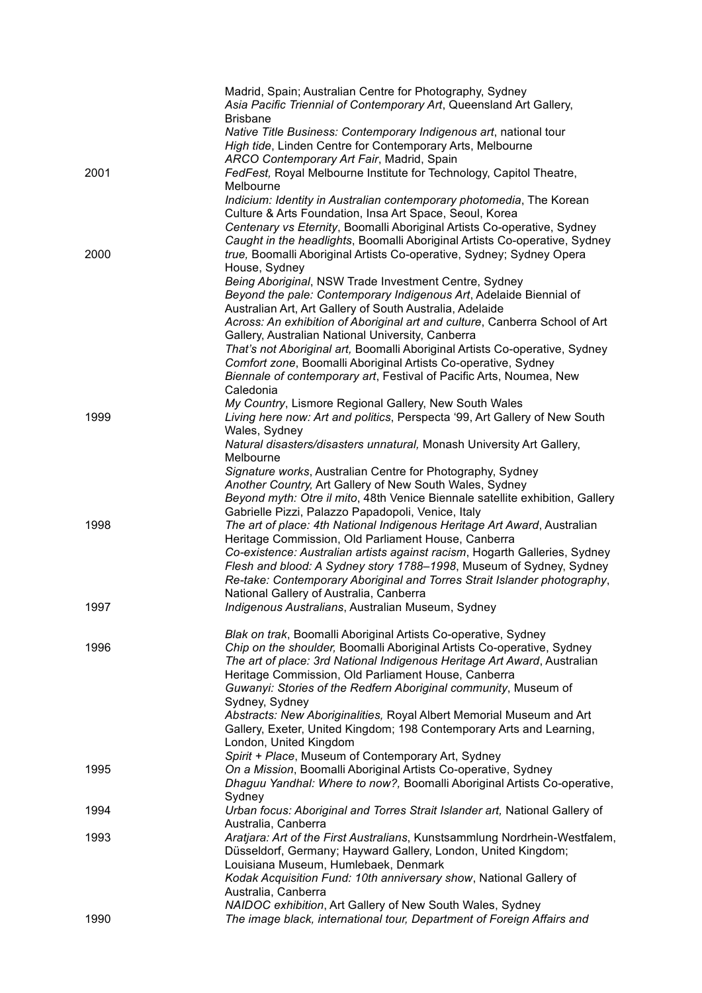|      | Madrid, Spain; Australian Centre for Photography, Sydney<br>Asia Pacific Triennial of Contemporary Art, Queensland Art Gallery,                                                                |
|------|------------------------------------------------------------------------------------------------------------------------------------------------------------------------------------------------|
|      | <b>Brisbane</b><br>Native Title Business: Contemporary Indigenous art, national tour<br>High tide, Linden Centre for Contemporary Arts, Melbourne<br>ARCO Contemporary Art Fair, Madrid, Spain |
| 2001 | FedFest, Royal Melbourne Institute for Technology, Capitol Theatre,<br>Melbourne                                                                                                               |
|      | Indicium: Identity in Australian contemporary photomedia, The Korean<br>Culture & Arts Foundation, Insa Art Space, Seoul, Korea                                                                |
|      | Centenary vs Eternity, Boomalli Aboriginal Artists Co-operative, Sydney<br>Caught in the headlights, Boomalli Aboriginal Artists Co-operative, Sydney                                          |
| 2000 | true, Boomalli Aboriginal Artists Co-operative, Sydney; Sydney Opera<br>House, Sydney                                                                                                          |
|      | Being Aboriginal, NSW Trade Investment Centre, Sydney<br>Beyond the pale: Contemporary Indigenous Art, Adelaide Biennial of                                                                    |
|      | Australian Art, Art Gallery of South Australia, Adelaide<br>Across: An exhibition of Aboriginal art and culture, Canberra School of Art                                                        |
|      | Gallery, Australian National University, Canberra<br>That's not Aboriginal art, Boomalli Aboriginal Artists Co-operative, Sydney                                                               |
|      | Comfort zone, Boomalli Aboriginal Artists Co-operative, Sydney                                                                                                                                 |
|      | Biennale of contemporary art, Festival of Pacific Arts, Noumea, New<br>Caledonia                                                                                                               |
| 1999 | My Country, Lismore Regional Gallery, New South Wales<br>Living here now: Art and politics, Perspecta '99, Art Gallery of New South                                                            |
|      | Wales, Sydney                                                                                                                                                                                  |
|      | Natural disasters/disasters unnatural, Monash University Art Gallery,<br>Melbourne                                                                                                             |
|      | Signature works, Australian Centre for Photography, Sydney                                                                                                                                     |
|      | Another Country, Art Gallery of New South Wales, Sydney<br>Beyond myth: Otre il mito, 48th Venice Biennale satellite exhibition, Gallery                                                       |
| 1998 | Gabrielle Pizzi, Palazzo Papadopoli, Venice, Italy<br>The art of place: 4th National Indigenous Heritage Art Award, Australian                                                                 |
|      | Heritage Commission, Old Parliament House, Canberra                                                                                                                                            |
|      | Co-existence: Australian artists against racism, Hogarth Galleries, Sydney<br>Flesh and blood: A Sydney story 1788-1998, Museum of Sydney, Sydney                                              |
|      | Re-take: Contemporary Aboriginal and Torres Strait Islander photography,<br>National Gallery of Australia, Canberra                                                                            |
| 1997 | Indigenous Australians, Australian Museum, Sydney                                                                                                                                              |
| 1996 | Blak on trak, Boomalli Aboriginal Artists Co-operative, Sydney<br>Chip on the shoulder, Boomalli Aboriginal Artists Co-operative, Sydney                                                       |
|      | The art of place: 3rd National Indigenous Heritage Art Award, Australian                                                                                                                       |
|      | Heritage Commission, Old Parliament House, Canberra<br>Guwanyi: Stories of the Redfern Aboriginal community, Museum of                                                                         |
|      | Sydney, Sydney                                                                                                                                                                                 |
|      | Abstracts: New Aboriginalities, Royal Albert Memorial Museum and Art<br>Gallery, Exeter, United Kingdom; 198 Contemporary Arts and Learning,                                                   |
|      | London, United Kingdom                                                                                                                                                                         |
| 1995 | Spirit + Place, Museum of Contemporary Art, Sydney<br>On a Mission, Boomalli Aboriginal Artists Co-operative, Sydney                                                                           |
|      | Dhaguu Yandhal: Where to now?, Boomalli Aboriginal Artists Co-operative,<br>Sydney                                                                                                             |
| 1994 | Urban focus: Aboriginal and Torres Strait Islander art, National Gallery of<br>Australia, Canberra                                                                                             |
| 1993 | Aratjara: Art of the First Australians, Kunstsammlung Nordrhein-Westfalem,<br>Düsseldorf, Germany; Hayward Gallery, London, United Kingdom;                                                    |
|      | Louisiana Museum, Humlebaek, Denmark<br>Kodak Acquisition Fund: 10th anniversary show, National Gallery of                                                                                     |
|      | Australia, Canberra<br>NAIDOC exhibition, Art Gallery of New South Wales, Sydney                                                                                                               |
| 1990 | The image black, international tour, Department of Foreign Affairs and                                                                                                                         |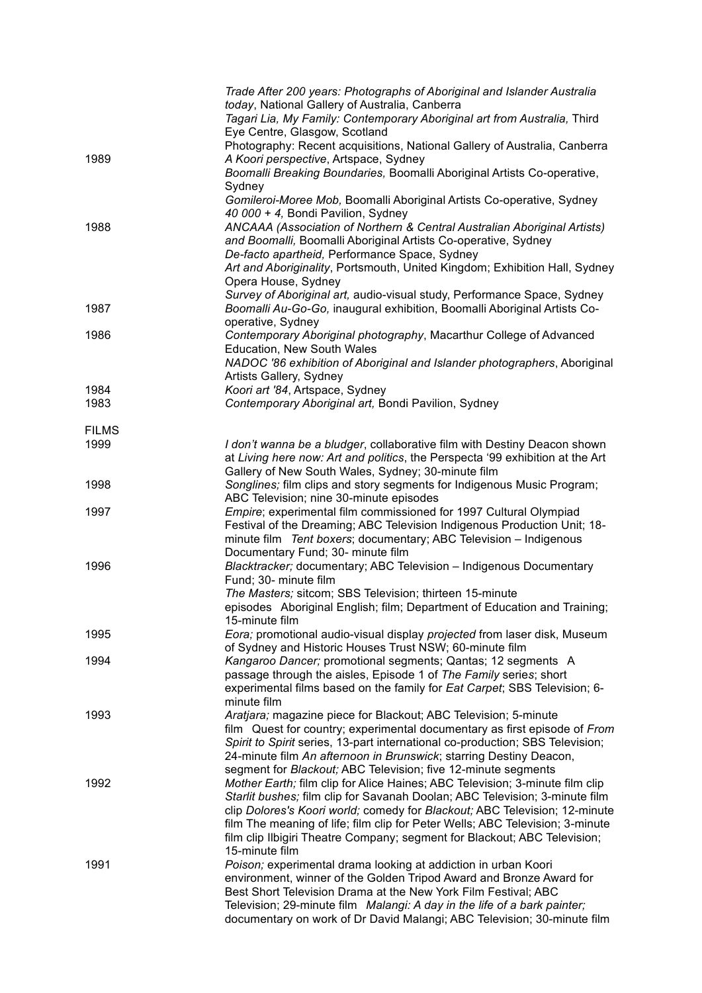|              | Trade After 200 years: Photographs of Aboriginal and Islander Australia                                                                             |
|--------------|-----------------------------------------------------------------------------------------------------------------------------------------------------|
|              | today, National Gallery of Australia, Canberra                                                                                                      |
|              | Tagari Lia, My Family: Contemporary Aboriginal art from Australia, Third                                                                            |
|              | Eye Centre, Glasgow, Scotland                                                                                                                       |
|              | Photography: Recent acquisitions, National Gallery of Australia, Canberra                                                                           |
| 1989         | A Koori perspective, Artspace, Sydney                                                                                                               |
|              | Boomalli Breaking Boundaries, Boomalli Aboriginal Artists Co-operative,                                                                             |
|              | Sydney                                                                                                                                              |
|              | Gomileroi-Moree Mob, Boomalli Aboriginal Artists Co-operative, Sydney                                                                               |
|              | 40 000 + 4, Bondi Pavilion, Sydney                                                                                                                  |
| 1988         | ANCAAA (Association of Northern & Central Australian Aboriginal Artists)                                                                            |
|              | and Boomalli, Boomalli Aboriginal Artists Co-operative, Sydney                                                                                      |
|              | De-facto apartheid, Performance Space, Sydney                                                                                                       |
|              | Art and Aboriginality, Portsmouth, United Kingdom; Exhibition Hall, Sydney                                                                          |
|              | Opera House, Sydney                                                                                                                                 |
|              | Survey of Aboriginal art, audio-visual study, Performance Space, Sydney<br>Boomalli Au-Go-Go, inaugural exhibition, Boomalli Aboriginal Artists Co- |
| 1987         | operative, Sydney                                                                                                                                   |
| 1986         | Contemporary Aboriginal photography, Macarthur College of Advanced                                                                                  |
|              | <b>Education, New South Wales</b>                                                                                                                   |
|              | NADOC '86 exhibition of Aboriginal and Islander photographers, Aboriginal                                                                           |
|              | Artists Gallery, Sydney                                                                                                                             |
| 1984         | Koori art '84, Artspace, Sydney                                                                                                                     |
| 1983         | Contemporary Aboriginal art, Bondi Pavilion, Sydney                                                                                                 |
|              |                                                                                                                                                     |
| <b>FILMS</b> |                                                                                                                                                     |
| 1999         | I don't wanna be a bludger, collaborative film with Destiny Deacon shown                                                                            |
|              | at Living here now: Art and politics, the Perspecta '99 exhibition at the Art                                                                       |
|              | Gallery of New South Wales, Sydney; 30-minute film                                                                                                  |
| 1998         | Songlines; film clips and story segments for Indigenous Music Program;                                                                              |
|              | ABC Television; nine 30-minute episodes                                                                                                             |
| 1997         | Empire; experimental film commissioned for 1997 Cultural Olympiad                                                                                   |
|              | Festival of the Dreaming; ABC Television Indigenous Production Unit; 18-                                                                            |
|              | minute film Tent boxers; documentary; ABC Television - Indigenous                                                                                   |
|              | Documentary Fund; 30- minute film                                                                                                                   |
| 1996         | Blacktracker; documentary; ABC Television - Indigenous Documentary                                                                                  |
|              | Fund; 30- minute film                                                                                                                               |
|              | The Masters; sitcom; SBS Television; thirteen 15-minute<br>episodes Aboriginal English; film; Department of Education and Training;                 |
|              | 15-minute film                                                                                                                                      |
| 1995         | Eora; promotional audio-visual display projected from laser disk, Museum                                                                            |
|              | of Sydney and Historic Houses Trust NSW; 60-minute film                                                                                             |
| 1994         | Kangaroo Dancer; promotional segments; Qantas; 12 segments A                                                                                        |
|              | passage through the aisles, Episode 1 of The Family series; short                                                                                   |
|              | experimental films based on the family for Eat Carpet; SBS Television; 6-                                                                           |
|              | minute film                                                                                                                                         |
| 1993         | Aratjara; magazine piece for Blackout; ABC Television; 5-minute                                                                                     |
|              | film Quest for country; experimental documentary as first episode of From                                                                           |
|              | Spirit to Spirit series, 13-part international co-production; SBS Television;                                                                       |
|              | 24-minute film An afternoon in Brunswick; starring Destiny Deacon,                                                                                  |
|              | segment for Blackout; ABC Television; five 12-minute segments                                                                                       |
| 1992         | Mother Earth; film clip for Alice Haines; ABC Television; 3-minute film clip                                                                        |
|              | Starlit bushes; film clip for Savanah Doolan; ABC Television; 3-minute film                                                                         |
|              | clip Dolores's Koori world; comedy for Blackout; ABC Television; 12-minute                                                                          |
|              | film The meaning of life; film clip for Peter Wells; ABC Television; 3-minute                                                                       |
|              | film clip Ilbigiri Theatre Company; segment for Blackout; ABC Television;                                                                           |
|              | 15-minute film                                                                                                                                      |
| 1991         | Poison; experimental drama looking at addiction in urban Koori                                                                                      |
|              | environment, winner of the Golden Tripod Award and Bronze Award for<br>Best Short Television Drama at the New York Film Festival; ABC               |
|              | Television; 29-minute film Malangi: A day in the life of a bark painter;                                                                            |
|              | documentary on work of Dr David Malangi; ABC Television; 30-minute film                                                                             |
|              |                                                                                                                                                     |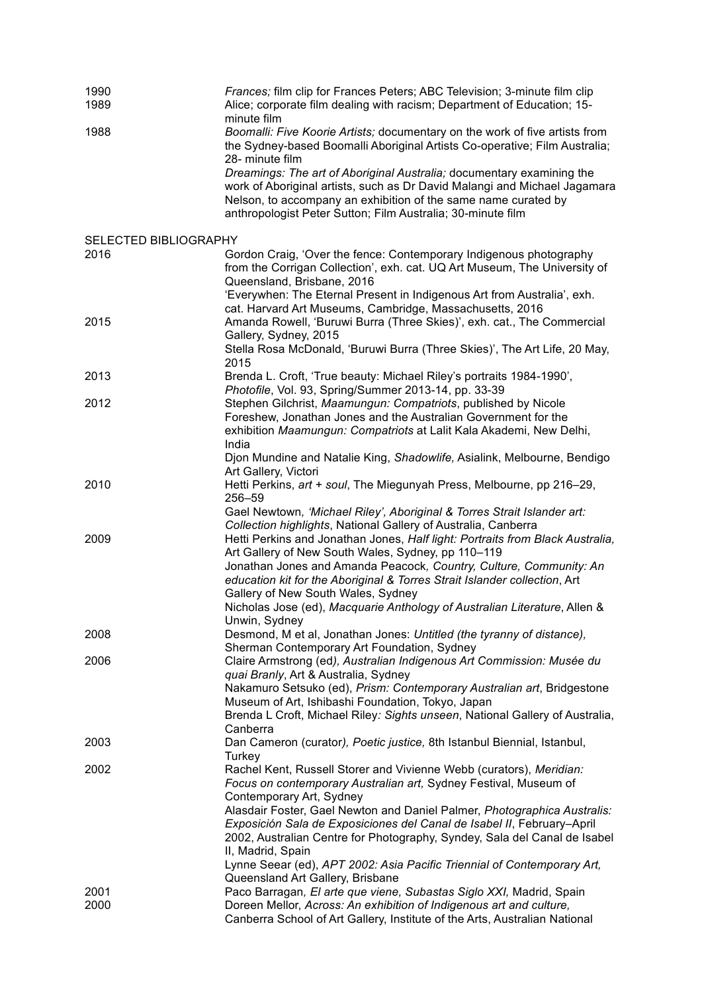| 1990<br>1989                 | Frances; film clip for Frances Peters; ABC Television; 3-minute film clip<br>Alice; corporate film dealing with racism; Department of Education; 15-                                        |
|------------------------------|---------------------------------------------------------------------------------------------------------------------------------------------------------------------------------------------|
| 1988                         | minute film<br>Boomalli: Five Koorie Artists; documentary on the work of five artists from<br>the Sydney-based Boomalli Aboriginal Artists Co-operative; Film Australia;<br>28- minute film |
|                              | Dreamings: The art of Aboriginal Australia; documentary examining the<br>work of Aboriginal artists, such as Dr David Malangi and Michael Jagamara                                          |
|                              | Nelson, to accompany an exhibition of the same name curated by<br>anthropologist Peter Sutton; Film Australia; 30-minute film                                                               |
| <b>SELECTED BIBLIOGRAPHY</b> |                                                                                                                                                                                             |
| 2016                         | Gordon Craig, 'Over the fence: Contemporary Indigenous photography                                                                                                                          |
|                              | from the Corrigan Collection', exh. cat. UQ Art Museum, The University of<br>Queensland, Brisbane, 2016                                                                                     |
|                              | 'Everywhen: The Eternal Present in Indigenous Art from Australia', exh.                                                                                                                     |
| 2015                         | cat. Harvard Art Museums, Cambridge, Massachusetts, 2016<br>Amanda Rowell, 'Buruwi Burra (Three Skies)', exh. cat., The Commercial<br>Gallery, Sydney, 2015                                 |
|                              | Stella Rosa McDonald, 'Buruwi Burra (Three Skies)', The Art Life, 20 May,<br>2015                                                                                                           |
| 2013                         | Brenda L. Croft, 'True beauty: Michael Riley's portraits 1984-1990',<br>Photofile, Vol. 93, Spring/Summer 2013-14, pp. 33-39                                                                |
| 2012                         | Stephen Gilchrist, Maamungun: Compatriots, published by Nicole                                                                                                                              |
|                              | Foreshew, Jonathan Jones and the Australian Government for the                                                                                                                              |
|                              | exhibition Maamungun: Compatriots at Lalit Kala Akademi, New Delhi,<br>India                                                                                                                |
|                              | Djon Mundine and Natalie King, Shadowlife, Asialink, Melbourne, Bendigo                                                                                                                     |
|                              | Art Gallery, Victori                                                                                                                                                                        |
| 2010                         | Hetti Perkins, art + soul, The Miegunyah Press, Melbourne, pp 216-29,<br>256-59                                                                                                             |
|                              | Gael Newtown, 'Michael Riley', Aboriginal & Torres Strait Islander art:<br>Collection highlights, National Gallery of Australia, Canberra                                                   |
| 2009                         | Hetti Perkins and Jonathan Jones, Half light: Portraits from Black Australia,                                                                                                               |
|                              | Art Gallery of New South Wales, Sydney, pp 110-119                                                                                                                                          |
|                              | Jonathan Jones and Amanda Peacock, Country, Culture, Community: An                                                                                                                          |
|                              | education kit for the Aboriginal & Torres Strait Islander collection, Art                                                                                                                   |
|                              | Gallery of New South Wales, Sydney<br>Nicholas Jose (ed), Macquarie Anthology of Australian Literature, Allen &                                                                             |
|                              | Unwin, Sydney                                                                                                                                                                               |
| 2008                         | Desmond, M et al, Jonathan Jones: Untitled (the tyranny of distance),                                                                                                                       |
|                              | Sherman Contemporary Art Foundation, Sydney                                                                                                                                                 |
| 2006                         | Claire Armstrong (ed), Australian Indigenous Art Commission: Musée du<br>quai Branly, Art & Australia, Sydney                                                                               |
|                              | Nakamuro Setsuko (ed), Prism: Contemporary Australian art, Bridgestone                                                                                                                      |
|                              | Museum of Art, Ishibashi Foundation, Tokyo, Japan                                                                                                                                           |
|                              | Brenda L Croft, Michael Riley: Sights unseen, National Gallery of Australia,                                                                                                                |
|                              | Canberra                                                                                                                                                                                    |
| 2003                         | Dan Cameron (curator), Poetic justice, 8th Istanbul Biennial, Istanbul,<br>Turkey                                                                                                           |
| 2002                         | Rachel Kent, Russell Storer and Vivienne Webb (curators), Meridian:                                                                                                                         |
|                              | Focus on contemporary Australian art, Sydney Festival, Museum of                                                                                                                            |
|                              | Contemporary Art, Sydney                                                                                                                                                                    |
|                              | Alasdair Foster, Gael Newton and Daniel Palmer, Photographica Australis:                                                                                                                    |
|                              | Exposición Sala de Exposiciones del Canal de Isabel II, February-April<br>2002, Australian Centre for Photography, Syndey, Sala del Canal de Isabel                                         |
|                              | II, Madrid, Spain                                                                                                                                                                           |
|                              | Lynne Seear (ed), APT 2002: Asia Pacific Triennial of Contemporary Art,                                                                                                                     |
|                              | Queensland Art Gallery, Brisbane                                                                                                                                                            |
| 2001<br>2000                 | Paco Barragan, El arte que viene, Subastas Siglo XXI, Madrid, Spain                                                                                                                         |
|                              | Doreen Mellor, Across: An exhibition of Indigenous art and culture,<br>Canberra School of Art Gallery, Institute of the Arts, Australian National                                           |
|                              |                                                                                                                                                                                             |